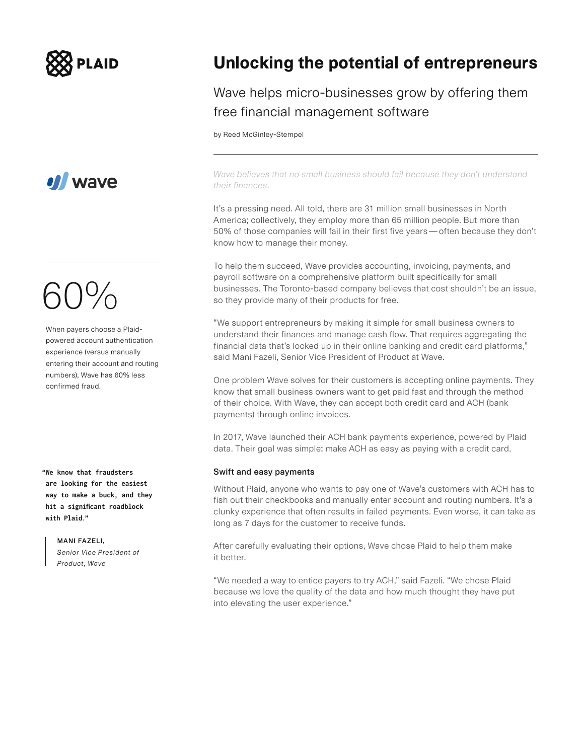



## 60%

When payers choose a Plaidpowered account authentication experience (versus manually entering their account and routing numbers), Wave has 60% less confirmed fraud.

**"We know that fraudsters are looking for the easiest way to make a buck, and they hit a significant roadblock with Plaid."**

> **MANI FAZELI,**  *Senior Vice President of Product, Wave*

### **Unlocking the potential of entrepreneurs**

### Wave helps micro-businesses grow by offering them free financial management software

by Reed McGinley-Stempel

*Wave believes that no small business should fail because they don't understand their finances.*

It's a pressing need. All told, there are 31 million small businesses in North America; collectively, they employ more than 65 million people. But more than 50% of those companies will fail in their first five years—often because they don't know how to manage their money.

To help them succeed, Wave provides accounting, invoicing, payments, and payroll software on a comprehensive platform built specifically for small businesses. The Toronto-based company believes that cost shouldn't be an issue, so they provide many of their products for free.

"We support entrepreneurs by making it simple for small business owners to understand their finances and manage cash flow. That requires aggregating the financial data that's locked up in their online banking and credit card platforms," said Mani Fazeli, Senior Vice President of Product at Wave.

One problem Wave solves for their customers is accepting online payments. They know that small business owners want to get paid fast and through the method of their choice. With Wave, they can accept both credit card and ACH (bank payments) through online invoices.

In 2017, Wave launched their ACH bank payments experience, powered by Plaid data. Their goal was simple: make ACH as easy as paying with a credit card.

### **Swift and easy payments**

Without Plaid, anyone who wants to pay one of Wave's customers with ACH has to fish out their checkbooks and manually enter account and routing numbers. It's a clunky experience that often results in failed payments. Even worse, it can take as long as 7 days for the customer to receive funds.

After carefully evaluating their options, Wave chose Plaid to help them make it better.

"We needed a way to entice payers to try ACH," said Fazeli. "We chose Plaid because we love the quality of the data and how much thought they have put into elevating the user experience."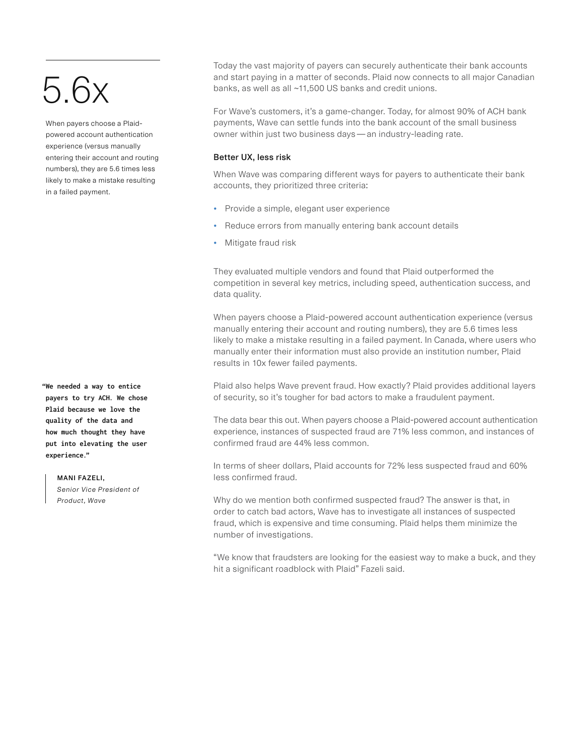## $5.6x$

When payers choose a Plaidpowered account authentication experience (versus manually entering their account and routing numbers), they are 5.6 times less likely to make a mistake resulting in a failed payment.

**"We needed a way to entice payers to try ACH. We chose Plaid because we love the quality of the data and how much thought they have put into elevating the user experience."**

#### **MANI FAZELI,**

*Senior Vice President of Product, Wave*

Today the vast majority of payers can securely authenticate their bank accounts and start paying in a matter of seconds. Plaid now connects to all major Canadian banks, as well as all ~11,500 US banks and credit unions.

For Wave's customers, it's a game-changer. Today, for almost 90% of ACH bank payments, Wave can settle funds into the bank account of the small business owner within just two business days—an industry-leading rate.

### **Better UX, less risk**

When Wave was comparing different ways for payers to authenticate their bank accounts, they prioritized three criteria:

- Provide a simple, elegant user experience
- Reduce errors from manually entering bank account details
- Mitigate fraud risk

They evaluated multiple vendors and found that Plaid outperformed the competition in several key metrics, including speed, authentication success, and data quality.

When payers choose a Plaid-powered account authentication experience (versus manually entering their account and routing numbers), they are 5.6 times less likely to make a mistake resulting in a failed payment. In Canada, where users who manually enter their information must also provide an institution number, Plaid results in 10x fewer failed payments.

Plaid also helps Wave prevent fraud. How exactly? Plaid provides additional layers of security, so it's tougher for bad actors to make a fraudulent payment.

The data bear this out. When payers choose a Plaid-powered account authentication experience, instances of suspected fraud are 71% less common, and instances of confirmed fraud are 44% less common.

In terms of sheer dollars, Plaid accounts for 72% less suspected fraud and 60% less confirmed fraud.

Why do we mention both confirmed suspected fraud? The answer is that, in order to catch bad actors, Wave has to investigate all instances of suspected fraud, which is expensive and time consuming. Plaid helps them minimize the number of investigations.

"We know that fraudsters are looking for the easiest way to make a buck, and they hit a significant roadblock with Plaid" Fazeli said.